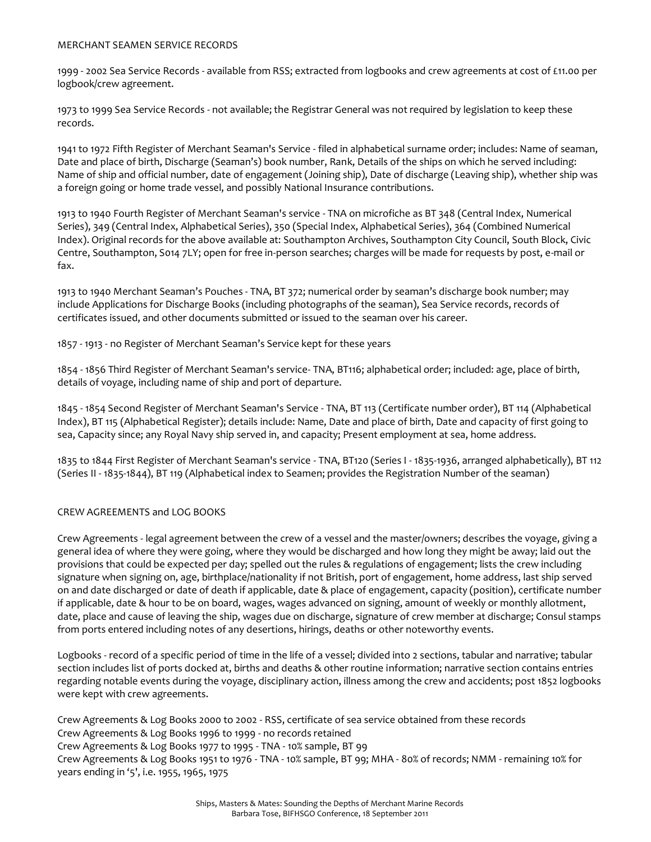## MERCHANT SEAMEN SERVICE RECORDS

1999 - 2002 Sea Service Records - available from RSS; extracted from logbooks and crew agreements at cost of £11.00 per logbook/crew agreement.

1973 to 1999 Sea Service Records - not available; the Registrar General was not required by legislation to keep these records.

1941 to 1972 Fifth Register of Merchant Seaman's Service - filed in alphabetical surname order; includes: Name of seaman, Date and place of birth, Discharge (Seaman's) book number, Rank, Details of the ships on which he served including: Name of ship and official number, date of engagement (Joining ship), Date of discharge (Leaving ship), whether ship was a foreign going or home trade vessel, and possibly National Insurance contributions.

1913 to 1940 Fourth Register of Merchant Seaman's service - TNA on microfiche as BT 348 (Central Index, Numerical Series), 349 (Central Index, Alphabetical Series), 350 (Special Index, Alphabetical Series), 364 (Combined Numerical Index). Original records for the above available at: Southampton Archives, Southampton City Council, South Block, Civic Centre, Southampton, S014 7LY; open for free in-person searches; charges will be made for requests by post, e-mail or fax.

1913 to 1940 Merchant Seaman's Pouches - TNA, BT 372; numerical order by seaman's discharge book number; may include Applications for Discharge Books (including photographs of the seaman), Sea Service records, records of certificates issued, and other documents submitted or issued to the seaman over his career.

1857 - 1913 - no Register of Merchant Seaman's Service kept for these years

1854 - 1856 Third Register of Merchant Seaman's service- TNA, BT116; alphabetical order; included: age, place of birth, details of voyage, including name of ship and port of departure.

1845 - 1854 Second Register of Merchant Seaman's Service - TNA, BT 113 (Certificate number order), BT 114 (Alphabetical Index), BT 115 (Alphabetical Register); details include: Name, Date and place of birth, Date and capacity of first going to sea, Capacity since; any Royal Navy ship served in, and capacity; Present employment at sea, home address.

1835 to 1844 First Register of Merchant Seaman's service - TNA, BT120 (Series I - 1835-1936, arranged alphabetically), BT 112 (Series II - 1835-1844), BT 119 (Alphabetical index to Seamen; provides the Registration Number of the seaman)

## CREW AGREEMENTS and LOG BOOKS

Crew Agreements - legal agreement between the crew of a vessel and the master/owners; describes the voyage, giving a general idea of where they were going, where they would be discharged and how long they might be away; laid out the provisions that could be expected per day; spelled out the rules & regulations of engagement; lists the crew including signature when signing on, age, birthplace/nationality if not British, port of engagement, home address, last ship served on and date discharged or date of death if applicable, date & place of engagement, capacity (position), certificate number if applicable, date & hour to be on board, wages, wages advanced on signing, amount of weekly or monthly allotment, date, place and cause of leaving the ship, wages due on discharge, signature of crew member at discharge; Consul stamps from ports entered including notes of any desertions, hirings, deaths or other noteworthy events.

Logbooks - record of a specific period of time in the life of a vessel; divided into 2 sections, tabular and narrative; tabular section includes list of ports docked at, births and deaths & other routine information; narrative section contains entries regarding notable events during the voyage, disciplinary action, illness among the crew and accidents; post 1852 logbooks were kept with crew agreements.

Crew Agreements & Log Books 2000 to 2002 - RSS, certificate of sea service obtained from these records Crew Agreements & Log Books 1996 to 1999 - no records retained Crew Agreements & Log Books 1977 to 1995 - TNA - 10% sample, BT 99 Crew Agreements & Log Books 1951 to 1976 - TNA - 10% sample, BT 99; MHA - 80% of records; NMM - remaining 10% for years ending in '5', i.e. 1955, 1965, 1975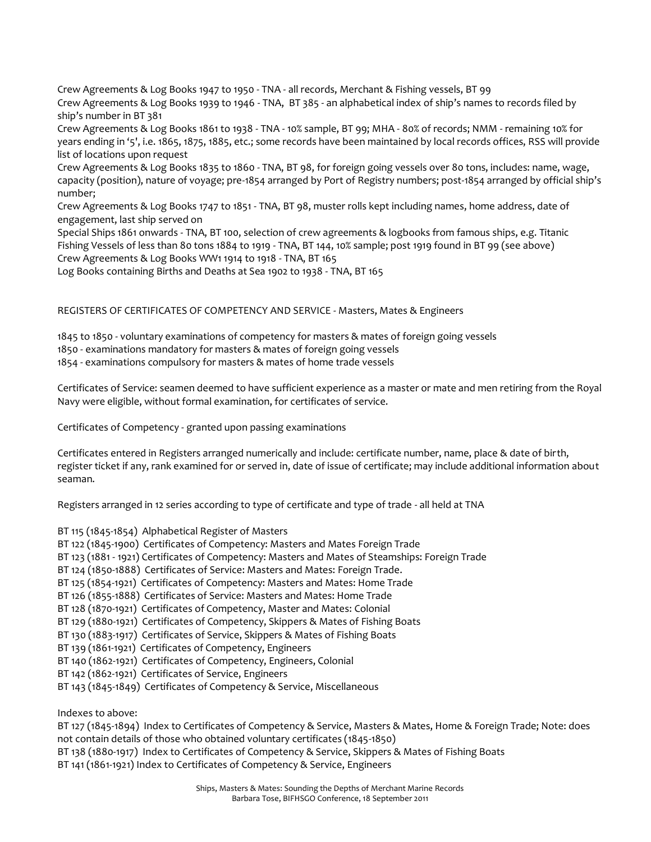Crew Agreements & Log Books 1947 to 1950 - TNA - all records, Merchant & Fishing vessels, BT 99 Crew Agreements & Log Books 1939 to 1946 - TNA, BT 385 - an alphabetical index of ship's names to records filed by ship's number in BT 381

Crew Agreements & Log Books 1861 to 1938 - TNA - 10% sample, BT 99; MHA - 80% of records; NMM - remaining 10% for years ending in '5', i.e. 1865, 1875, 1885, etc.; some records have been maintained by local records offices, RSS will provide list of locations upon request

Crew Agreements & Log Books 1835 to 1860 - TNA, BT 98, for foreign going vessels over 80 tons, includes: name, wage, capacity (position), nature of voyage; pre-1854 arranged by Port of Registry numbers; post-1854 arranged by official ship's number;

Crew Agreements & Log Books 1747 to 1851 - TNA, BT 98, muster rolls kept including names, home address, date of engagement, last ship served on

Special Ships 1861 onwards - TNA, BT 100, selection of crew agreements & logbooks from famous ships, e.g. Titanic Fishing Vessels of less than 80 tons 1884 to 1919 - TNA, BT 144, 10% sample; post 1919 found in BT 99 (see above) Crew Agreements & Log Books WW1 1914 to 1918 - TNA, BT 165

Log Books containing Births and Deaths at Sea 1902 to 1938 - TNA, BT 165

## REGISTERS OF CERTIFICATES OF COMPETENCY AND SERVICE - Masters, Mates & Engineers

1845 to 1850 - voluntary examinations of competency for masters & mates of foreign going vessels 1850 - examinations mandatory for masters & mates of foreign going vessels 1854 - examinations compulsory for masters & mates of home trade vessels

Certificates of Service: seamen deemed to have sufficient experience as a master or mate and men retiring from the Royal Navy were eligible, without formal examination, for certificates of service.

Certificates of Competency - granted upon passing examinations

Certificates entered in Registers arranged numerically and include: certificate number, name, place & date of birth, register ticket if any, rank examined for or served in, date of issue of certificate; may include additional information about seaman.

Registers arranged in 12 series according to type of certificate and type of trade - all held at TNA

BT 115 (1845-1854) Alphabetical Register of Masters

- BT 122 (1845-1900) Certificates of Competency: Masters and Mates Foreign Trade
- BT 123 (1881 1921) Certificates of Competency: Masters and Mates of Steamships: Foreign Trade
- BT 124 (1850-1888) Certificates of Service: Masters and Mates: Foreign Trade.
- BT 125 (1854-1921) Certificates of Competency: Masters and Mates: Home Trade
- BT 126 (1855-1888) Certificates of Service: Masters and Mates: Home Trade
- BT 128 (1870-1921) Certificates of Competency, Master and Mates: Colonial
- BT 129 (1880-1921) Certificates of Competency, Skippers & Mates of Fishing Boats
- BT 130 (1883-1917) Certificates of Service, Skippers & Mates of Fishing Boats
- BT 139 (1861-1921) Certificates of Competency, Engineers
- BT 140 (1862-1921) Certificates of Competency, Engineers, Colonial
- BT 142 (1862-1921) Certificates of Service, Engineers
- BT 143 (1845-1849) Certificates of Competency & Service, Miscellaneous

Indexes to above:

BT 127 (1845-1894) Index to Certificates of Competency & Service, Masters & Mates, Home & Foreign Trade; Note: does not contain details of those who obtained voluntary certificates (1845-1850)

- BT 138 (1880-1917) Index to Certificates of Competency & Service, Skippers & Mates of Fishing Boats
- BT 141 (1861-1921) Index to Certificates of Competency & Service, Engineers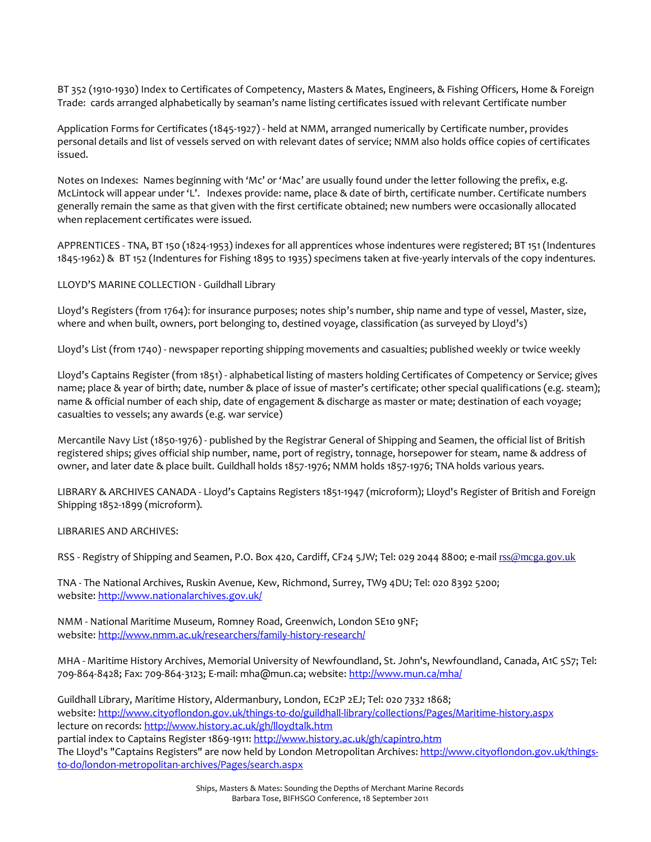BT 352 (1910-1930) Index to Certificates of Competency, Masters & Mates, Engineers, & Fishing Officers, Home & Foreign Trade: cards arranged alphabetically by seaman's name listing certificates issued with relevant Certificate number

Application Forms for Certificates (1845-1927) - held at NMM, arranged numerically by Certificate number, provides personal details and list of vessels served on with relevant dates of service; NMM also holds office copies of certificates issued.

Notes on Indexes: Names beginning with 'Mc' or 'Mac' are usually found under the letter following the prefix, e.g. McLintock will appear under 'L'. Indexes provide: name, place & date of birth, certificate number. Certificate numbers generally remain the same as that given with the first certificate obtained; new numbers were occasionally allocated when replacement certificates were issued.

APPRENTICES - TNA, BT 150 (1824-1953) indexes for all apprentices whose indentures were registered; BT 151 (Indentures 1845-1962) & BT 152 (Indentures for Fishing 1895 to 1935) specimens taken at five-yearly intervals of the copy indentures.

LLOYD'S MARINE COLLECTION - Guildhall Library

Lloyd's Registers (from 1764): for insurance purposes; notes ship's number, ship name and type of vessel, Master, size, where and when built, owners, port belonging to, destined voyage, classification (as surveyed by Lloyd's)

Lloyd's List (from 1740) - newspaper reporting shipping movements and casualties; published weekly or twice weekly

Lloyd's Captains Register (from 1851) - alphabetical listing of masters holding Certificates of Competency or Service; gives name; place & year of birth; date, number & place of issue of master's certificate; other special qualifications (e.g. steam); name & official number of each ship, date of engagement & discharge as master or mate; destination of each voyage; casualties to vessels; any awards (e.g. war service)

Mercantile Navy List (1850-1976) - published by the Registrar General of Shipping and Seamen, the official list of British registered ships; gives official ship number, name, port of registry, tonnage, horsepower for steam, name & address of owner, and later date & place built. Guildhall holds 1857-1976; NMM holds 1857-1976; TNA holds various years.

LIBRARY & ARCHIVES CANADA - Lloyd's Captains Registers 1851-1947 (microform); Lloyd's Register of British and Foreign Shipping 1852-1899 (microform).

LIBRARIES AND ARCHIVES:

RSS - Registry of Shipping and Seamen, P.O. Box 420, Cardiff, CF24 5JW; Tel: 029 2044 8800; e-mail [rss@mcga.gov.uk](mailto:rss@mcga.gov.uk)

TNA - The National Archives, Ruskin Avenue, Kew, Richmond, Surrey, TW9 4DU; Tel: 020 8392 5200; website[: http://www.nationalarchives.gov.uk/](http://www.nationalarchives.gov.uk/)

NMM - National Maritime Museum, Romney Road, Greenwich, London SE10 9NF; website[: http://www.nmm.ac.uk/researchers/family-history-research/](http://www.nmm.ac.uk/researchers/family-history-research/)

MHA - Maritime History Archives, Memorial University of Newfoundland, St. John's, Newfoundland, Canada, A1C 5S7; Tel: 709-864-8428; Fax: 709-864-3123; E-mail: mha@mun.ca; website[: http://www.mun.ca/mha/](http://www.mun.ca/mha/)

Guildhall Library, Maritime History, Aldermanbury, London, EC2P 2EJ; Tel: 020 7332 1868; website: http://www.cityoflondon.gov.uk/things-to-do/guildhall-library/collections/Pages/Maritime-history.aspx lecture on records[: http://www.history.ac.uk/gh/lloydtalk.htm](http://www.history.ac.uk/gh/lloydtalk.htm) partial index to Captains Register 1869-1911:<http://www.history.ac.uk/gh/capintro.htm> The Lloyd's "Captains Registers" are now held by London Metropolitan Archives[: http://www.cityoflondon.gov.uk/things](http://www.cityoflondon.gov.uk/things-to-do/london-metropolitan-archives/Pages/search.aspx)[to-do/london-metropolitan-archives/Pages/search.aspx](http://www.cityoflondon.gov.uk/things-to-do/london-metropolitan-archives/Pages/search.aspx)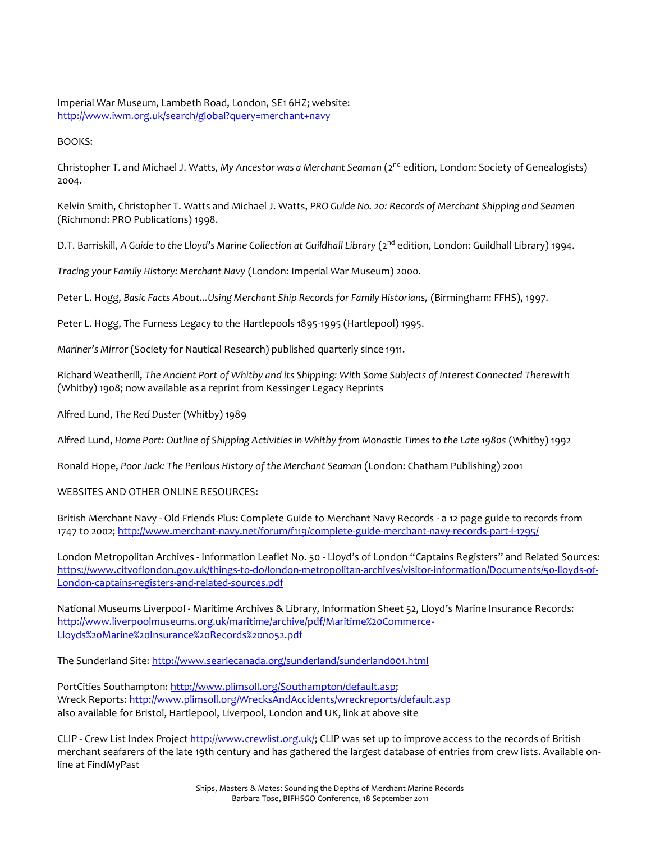Imperial War Museum, Lambeth Road, London, SE1 6HZ; website: <http://www.iwm.org.uk/search/global?query=merchant+navy>

BOOKS:

Christopher T. and Michael J. Watts*, My Ancestor was a Merchant Seaman* (2nd edition, London: Society of Genealogists) 2004.

Kelvin Smith, Christopher T. Watts and Michael J. Watts, *PRO Guide No. 20: Records of Merchant Shipping and Seamen*  (Richmond: PRO Publications) 1998.

D.T. Barriskill, A Guide to the Lloyd's Marine Collection at Guildhall Library (2<sup>nd</sup> edition, London: Guildhall Library) 1994.

*Tracing your Family History: Merchant Navy* (London: Imperial War Museum) 2000.

Peter L. Hogg, *Basic Facts About...Using Merchant Ship Records for Family Historians,* (Birmingham: FFHS), 1997.

Peter L. Hogg, The Furness Legacy to the Hartlepools 1895-1995 (Hartlepool) 1995.

*Mariner's Mirror* (Society for Nautical Research) published quarterly since 1911.

Richard Weatherill, *The Ancient Port of Whitby and its Shipping: With Some Subjects of Interest Connected Therewith* (Whitby) 1908; now available as a reprint from Kessinger Legacy Reprints

Alfred Lund, *The Red Duster* (Whitby) 1989

Alfred Lund, *Home Port: Outline of Shipping Activities in Whitby from Monastic Times to the Late 1980s* (Whitby) 1992

Ronald Hope, *Poor Jack: The Perilous History of the Merchant Seaman* (London: Chatham Publishing) 2001

WEBSITES AND OTHER ONLINE RESOURCES:

British Merchant Navy - Old Friends Plus: Complete Guide to Merchant Navy Records - a 12 page guide to records from 1747 to 2002; http://www.merchant-navy.net/forum/f119/complete-guide-merchant-navy-records-part-i-1795/

London Metropolitan Archives - Information Leaflet No. 50 - Lloyd's of London "Captains Registers" and Related Sources: https://www.cityoflondon.gov.uk/things-to-do/london-metropolitan-archives/visitor-information/Documents/50-lloyds-of-London-captains-registers-and-related-sources.pdf

National Museums Liverpool - Maritime Archives & Library, Information Sheet 52, Lloyd's Marine Insurance Records: http://www.liverpoolmuseums.org.uk/maritime/archive/pdf/Maritime%20Commerce-Lloyds%20Marine%20Insurance%20Records%20no52.pdf

The Sunderland Site:<http://www.searlecanada.org/sunderland/sunderland001.html>

PortCities Southampton: http://www.plimsoll.org/Southampton/default.asp; Wreck Reports: http://www.plimsoll.org/WrecksAndAccidents/wreckreports/default.asp also available for Bristol, Hartlepool, Liverpool, London and UK, link at above site

CLIP - Crew List Index Project [http://www.crewlist.org.uk/;](http://www.crewlist.org.uk/findingoncrewlists.html;) CLIP was set up to improve access to the records of British merchant seafarers of the late 19th century and has gathered the largest database of entries from crew lists. Available online at FindMyPast